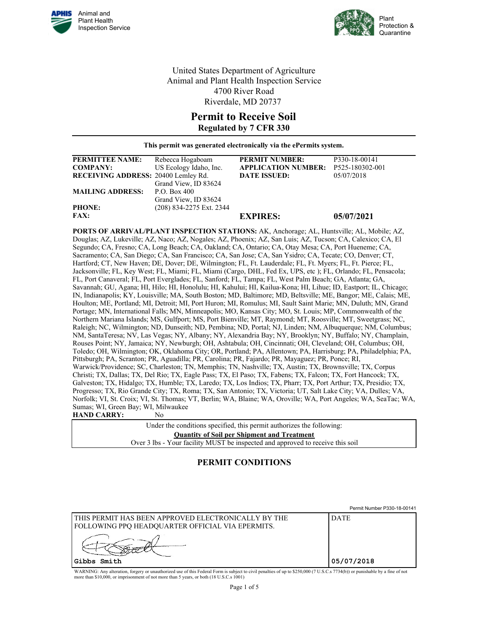



United States Department of Agriculture Animal and Plant Health Inspection Service 4700 River Road Riverdale, MD 20737

## **Permit to Receive Soil Regulated by 7 CFR 330**

**This permit was generated electronically via the ePermits system.**

| <b>PERMITTEE NAME:</b>              | Rebecca Hogaboam         | <b>PERMIT NUMBER:</b>      | P330-18-00141   |
|-------------------------------------|--------------------------|----------------------------|-----------------|
| <b>COMPANY:</b>                     | US Ecology Idaho, Inc.   | <b>APPLICATION NUMBER:</b> | P525-180302-001 |
| RECEIVING ADDRESS: 20400 Lemley Rd. |                          | <b>DATE ISSUED:</b>        | 05/07/2018      |
|                                     | Grand View, ID 83624     |                            |                 |
| <b>MAILING ADDRESS:</b>             | P.O. Box 400             |                            |                 |
|                                     | Grand View, ID 83624     |                            |                 |
| <b>PHONE:</b>                       | (208) 834-2275 Ext. 2344 |                            |                 |
| <b>FAX:</b>                         |                          | <b>EXPIRES:</b>            | 05/07/2021      |

**PORTS OF ARRIVAL/PLANT INSPECTION STATIONS:** AK, Anchorage; AL, Huntsville; AL, Mobile; AZ, Douglas; AZ, Lukeville; AZ, Naco; AZ, Nogales; AZ, Phoenix; AZ, San Luis; AZ, Tucson; CA, Calexico; CA, El Segundo; CA, Fresno; CA, Long Beach; CA, Oakland; CA, Ontario; CA, Otay Mesa; CA, Port Hueneme; CA, Sacramento; CA, San Diego; CA, San Francisco; CA, San Jose; CA, San Ysidro; CA, Tecate; CO, Denver; CT, Hartford; CT, New Haven; DE, Dover; DE, Wilmington; FL, Ft. Lauderdale; FL, Ft. Myers; FL, Ft. Pierce; FL, Jacksonville; FL, Key West; FL, Miami; FL, Miami (Cargo, DHL, Fed Ex, UPS, etc ); FL, Orlando; FL, Pensacola; FL, Port Canaveral; FL, Port Everglades; FL, Sanford; FL, Tampa; FL, West Palm Beach; GA, Atlanta; GA, Savannah; GU, Agana; HI, Hilo; HI, Honolulu; HI, Kahului; HI, Kailua-Kona; HI, Lihue; ID, Eastport; IL, Chicago; IN, Indianapolis; KY, Louisville; MA, South Boston; MD, Baltimore; MD, Beltsville; ME, Bangor; ME, Calais; ME, Houlton; ME, Portland; MI, Detroit; MI, Port Huron; MI, Romulus; MI, Sault Saint Marie; MN, Duluth; MN, Grand Portage; MN, International Falls; MN, Minneapolis; MO, Kansas City; MO, St. Louis; MP, Commonwealth of the Northern Mariana Islands; MS, Gulfport; MS, Port Bienville; MT, Raymond; MT, Roosville; MT, Sweetgrass; NC, Raleigh; NC, Wilmington; ND, Dunseith; ND, Pembina; ND, Portal; NJ, Linden; NM, Albuquerque; NM, Columbus; NM, SantaTeresa; NV, Las Vegas; NY, Albany; NY, Alexandria Bay; NY, Brooklyn; NY, Buffalo; NY, Champlain, Rouses Point; NY, Jamaica; NY, Newburgh; OH, Ashtabula; OH, Cincinnati; OH, Cleveland; OH, Columbus; OH, Toledo; OH, Wilmington; OK, Oklahoma City; OR, Portland; PA, Allentown; PA, Harrisburg; PA, Philadelphia; PA, Pittsburgh; PA, Scranton; PR, Aguadilla; PR, Carolina; PR, Fajardo; PR, Mayaguez; PR, Ponce; RI, Warwick/Providence; SC, Charleston; TN, Memphis; TN, Nashville; TX, Austin; TX, Brownsville; TX, Corpus Christi; TX, Dallas; TX, Del Rio; TX, Eagle Pass; TX, El Paso; TX, Fabens; TX, Falcon; TX, Fort Hancock; TX, Galveston; TX, Hidalgo; TX, Humble; TX, Laredo; TX, Los Indios; TX, Pharr; TX, Port Arthur; TX, Presidio; TX, Progresso; TX, Rio Grande City; TX, Roma; TX, San Antonio; TX, Victoria; UT, Salt Lake City; VA, Dulles; VA, Norfolk; VI, St. Croix; VI, St. Thomas; VT, Berlin; WA, Blaine; WA, Oroville; WA, Port Angeles; WA, SeaTac; WA, Sumas; WI, Green Bay; WI, Milwaukee **HAND CARRY:** No

> Under the conditions specified, this permit authorizes the following: **Quantity of Soil per Shipment and Treatment** Over 3 lbs - Your facility MUST be inspected and approved to receive this soil

## **PERMIT CONDITIONS**

|                                                                                                         | Permit Number P330-18-00141 |
|---------------------------------------------------------------------------------------------------------|-----------------------------|
| THIS PERMIT HAS BEEN APPROVED ELECTRONICALLY BY THE<br>FOLLOWING PPQ HEADQUARTER OFFICIAL VIA EPERMITS. | <b>DATE</b>                 |
| 'Gibbs Smith                                                                                            | 05/07/2018                  |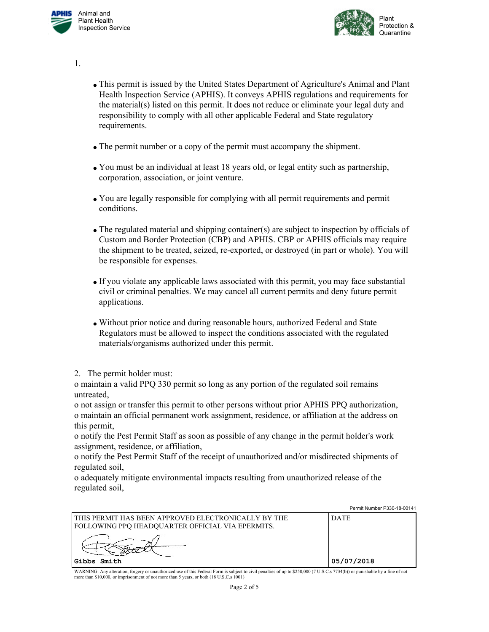



1.

- This permit is issued by the United States Department of Agriculture's Animal and Plant Health Inspection Service (APHIS). It conveys APHIS regulations and requirements for the material(s) listed on this permit. It does not reduce or eliminate your legal duty and responsibility to comply with all other applicable Federal and State regulatory requirements.
- The permit number or a copy of the permit must accompany the shipment.
- You must be an individual at least 18 years old, or legal entity such as partnership, corporation, association, or joint venture.
- You are legally responsible for complying with all permit requirements and permit conditions.
- The regulated material and shipping container(s) are subject to inspection by officials of Custom and Border Protection (CBP) and APHIS. CBP or APHIS officials may require the shipment to be treated, seized, re-exported, or destroyed (in part or whole). You will be responsible for expenses.
- If you violate any applicable laws associated with this permit, you may face substantial civil or criminal penalties. We may cancel all current permits and deny future permit applications.
- Without prior notice and during reasonable hours, authorized Federal and State Regulators must be allowed to inspect the conditions associated with the regulated materials/organisms authorized under this permit.
- 2. The permit holder must:

o maintain a valid PPQ 330 permit so long as any portion of the regulated soil remains untreated,

o not assign or transfer this permit to other persons without prior APHIS PPQ authorization, o maintain an official permanent work assignment, residence, or affiliation at the address on this permit,

o notify the Pest Permit Staff as soon as possible of any change in the permit holder's work assignment, residence, or affiliation,

o notify the Pest Permit Staff of the receipt of unauthorized and/or misdirected shipments of regulated soil,

o adequately mitigate environmental impacts resulting from unauthorized release of the regulated soil,

|                                                                                                             | Permit Number P330-18-00141 |
|-------------------------------------------------------------------------------------------------------------|-----------------------------|
| l this permit has been approved electronically by the<br>  FOLLOWING PPO HEADOUARTER OFFICIAL VIA EPERMITS. | <b>DATE</b>                 |
|                                                                                                             |                             |
| Gibbs Smith                                                                                                 | 05/07/2018                  |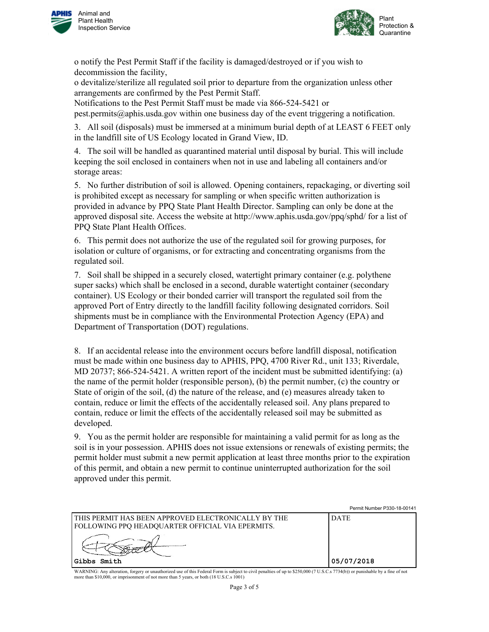



o notify the Pest Permit Staff if the facility is damaged/destroyed or if you wish to decommission the facility,

o devitalize/sterilize all regulated soil prior to departure from the organization unless other arrangements are confirmed by the Pest Permit Staff.

Notifications to the Pest Permit Staff must be made via 866-524-5421 or pest.permits@aphis.usda.gov within one business day of the event triggering a notification.

3. All soil (disposals) must be immersed at a minimum burial depth of at LEAST 6 FEET only in the landfill site of US Ecology located in Grand View, ID.

4. The soil will be handled as quarantined material until disposal by burial. This will include keeping the soil enclosed in containers when not in use and labeling all containers and/or storage areas:

5. No further distribution of soil is allowed. Opening containers, repackaging, or diverting soil is prohibited except as necessary for sampling or when specific written authorization is provided in advance by PPQ State Plant Health Director. Sampling can only be done at the approved disposal site. Access the website at http://www.aphis.usda.gov/ppq/sphd/ for a list of PPQ State Plant Health Offices.

6. This permit does not authorize the use of the regulated soil for growing purposes, for isolation or culture of organisms, or for extracting and concentrating organisms from the regulated soil.

7. Soil shall be shipped in a securely closed, watertight primary container (e.g. polythene super sacks) which shall be enclosed in a second, durable watertight container (secondary container). US Ecology or their bonded carrier will transport the regulated soil from the approved Port of Entry directly to the landfill facility following designated corridors. Soil shipments must be in compliance with the Environmental Protection Agency (EPA) and Department of Transportation (DOT) regulations.

8. If an accidental release into the environment occurs before landfill disposal, notification must be made within one business day to APHIS, PPQ, 4700 River Rd., unit 133; Riverdale, MD 20737; 866-524-5421. A written report of the incident must be submitted identifying: (a) the name of the permit holder (responsible person), (b) the permit number, (c) the country or State of origin of the soil, (d) the nature of the release, and (e) measures already taken to contain, reduce or limit the effects of the accidentally released soil. Any plans prepared to contain, reduce or limit the effects of the accidentally released soil may be submitted as developed.

9. You as the permit holder are responsible for maintaining a valid permit for as long as the soil is in your possession. APHIS does not issue extensions or renewals of existing permits; the permit holder must submit a new permit application at least three months prior to the expiration of this permit, and obtain a new permit to continue uninterrupted authorization for the soil approved under this permit.

|                                                                                                           | Permit Number P330-18-00141 |
|-----------------------------------------------------------------------------------------------------------|-----------------------------|
| I THIS PERMIT HAS BEEN APPROVED ELECTRONICALLY BY THE<br>FOLLOWING PPQ HEADQUARTER OFFICIAL VIA EPERMITS. | <b>DATE</b>                 |
|                                                                                                           |                             |
| IGibbs Smith                                                                                              | 05/07/2018                  |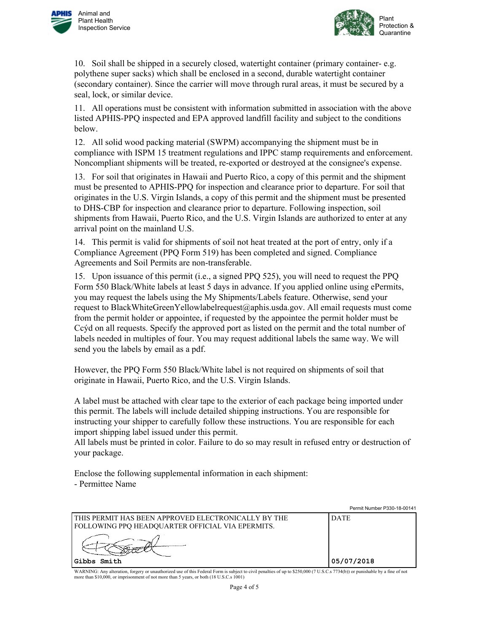



10. Soil shall be shipped in a securely closed, watertight container (primary container- e.g. polythene super sacks) which shall be enclosed in a second, durable watertight container (secondary container). Since the carrier will move through rural areas, it must be secured by a seal, lock, or similar device.

11. All operations must be consistent with information submitted in association with the above listed APHIS-PPQ inspected and EPA approved landfill facility and subject to the conditions below.

12. All solid wood packing material (SWPM) accompanying the shipment must be in compliance with ISPM 15 treatment regulations and IPPC stamp requirements and enforcement. Noncompliant shipments will be treated, re-exported or destroyed at the consignee's expense.

13. For soil that originates in Hawaii and Puerto Rico, a copy of this permit and the shipment must be presented to APHIS-PPQ for inspection and clearance prior to departure. For soil that originates in the U.S. Virgin Islands, a copy of this permit and the shipment must be presented to DHS-CBP for inspection and clearance prior to departure. Following inspection, soil shipments from Hawaii, Puerto Rico, and the U.S. Virgin Islands are authorized to enter at any arrival point on the mainland U.S.

14. This permit is valid for shipments of soil not heat treated at the port of entry, only if a Compliance Agreement (PPQ Form 519) has been completed and signed. Compliance Agreements and Soil Permits are non-transferable.

15. Upon issuance of this permit (i.e., a signed PPQ 525), you will need to request the PPQ Form 550 Black/White labels at least 5 days in advance. If you applied online using ePermits, you may request the labels using the My Shipments/Labels feature. Otherwise, send your request to BlackWhiteGreenYellowlabelrequest@aphis.usda.gov. All email requests must come from the permit holder or appointee, if requested by the appointee the permit holder must be Ccýd on all requests. Specify the approved port as listed on the permit and the total number of labels needed in multiples of four. You may request additional labels the same way. We will send you the labels by email as a pdf.

However, the PPQ Form 550 Black/White label is not required on shipments of soil that originate in Hawaii, Puerto Rico, and the U.S. Virgin Islands.

A label must be attached with clear tape to the exterior of each package being imported under this permit. The labels will include detailed shipping instructions. You are responsible for instructing your shipper to carefully follow these instructions. You are responsible for each import shipping label issued under this permit.

All labels must be printed in color. Failure to do so may result in refused entry or destruction of your package.

Enclose the following supplemental information in each shipment: - Permittee Name

|                                                                                                           | Permit Number P330-18-00141 |
|-----------------------------------------------------------------------------------------------------------|-----------------------------|
| I THIS PERMIT HAS BEEN APPROVED ELECTRONICALLY BY THE<br>FOLLOWING PPQ HEADQUARTER OFFICIAL VIA EPERMITS. | <b>DATE</b>                 |
|                                                                                                           |                             |
| Gibbs Smith                                                                                               | 05/07/2018                  |